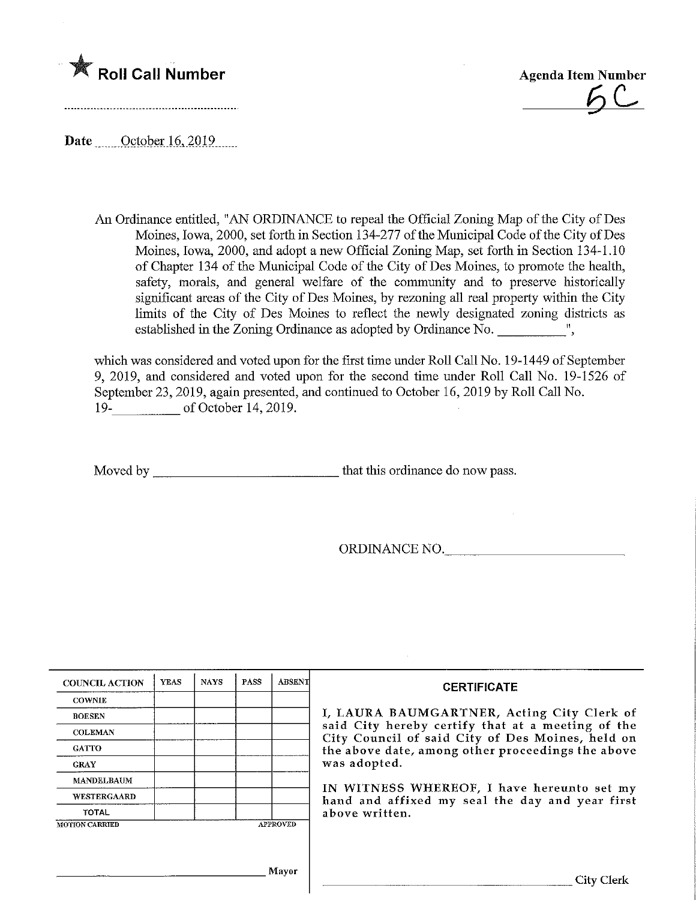



Date \_\_\_\_ October 16, 2019......

An Ordinance entitled, "AN ORDINANCE to repeal the Official Zoning Map of the City of Des Moines, Iowa, 2000, set forth in Section 134-277 of the Municipal Code of the City of Des Moines, Iowa, 2000, and adopt a new Official Zoning Map, set forth in Section 134-1.10 of Chapter 134 of the Municipal Code of the City of Des Moines, to promote the health, safety, morals, and general welfare of the community and to preserve historically significant areas of the City of Des Moines, by rezoning all real property within the City limits of the City of Des Moines to reflect the newly designated zoning districts as established in the Zoning Ordinance as adopted by Ordinance No.  $\overline{\phantom{a}}$  ",

which was considered and voted upon for the first time under Roll Call No. 19-1449 of September 9, 2019, and considered and voted upon for the second time under Roll Call No. 19-1526 of September 23, 2019, again presented, and continued to October 16, 2019 by Roll Call No. 19- of October 14, 2019.

Moved by that this ordinance do now pass.

ORDINANCE NO.

| <b>COUNCIL ACTION</b> | <b>YEAS</b> | <b>NAYS</b> | <b>PASS</b> | <b>ABSENT</b>   | <b>CERTIFICATE</b>                                                                                                                                                                                                       |
|-----------------------|-------------|-------------|-------------|-----------------|--------------------------------------------------------------------------------------------------------------------------------------------------------------------------------------------------------------------------|
| <b>COWNIE</b>         |             |             |             |                 |                                                                                                                                                                                                                          |
| <b>BOESEN</b>         |             |             |             |                 | I, LAURA BAUMGARTNER, Acting City Clerk of<br>said City hereby certify that at a meeting of the<br>City Council of said City of Des Moines, held on<br>the above date, among other proceedings the above<br>was adopted. |
| <b>COLEMAN</b>        |             |             |             |                 |                                                                                                                                                                                                                          |
| <b>GATTO</b>          |             |             |             |                 |                                                                                                                                                                                                                          |
| <b>GRAY</b>           |             |             |             |                 |                                                                                                                                                                                                                          |
| MANDELBAUM            |             |             |             |                 |                                                                                                                                                                                                                          |
| <b>WESTERGAARD</b>    |             |             |             |                 | IN WITNESS WHEREOF, I have hereunto set my<br>hand and affixed my seal the day and year first<br>above written.                                                                                                          |
| TOTAL                 |             |             |             |                 |                                                                                                                                                                                                                          |
| <b>MOTION CARRIED</b> |             |             |             | <b>APPROVED</b> |                                                                                                                                                                                                                          |
|                       |             |             |             |                 |                                                                                                                                                                                                                          |
|                       |             |             |             |                 |                                                                                                                                                                                                                          |
|                       |             |             |             | Mayor           | City Clerk                                                                                                                                                                                                               |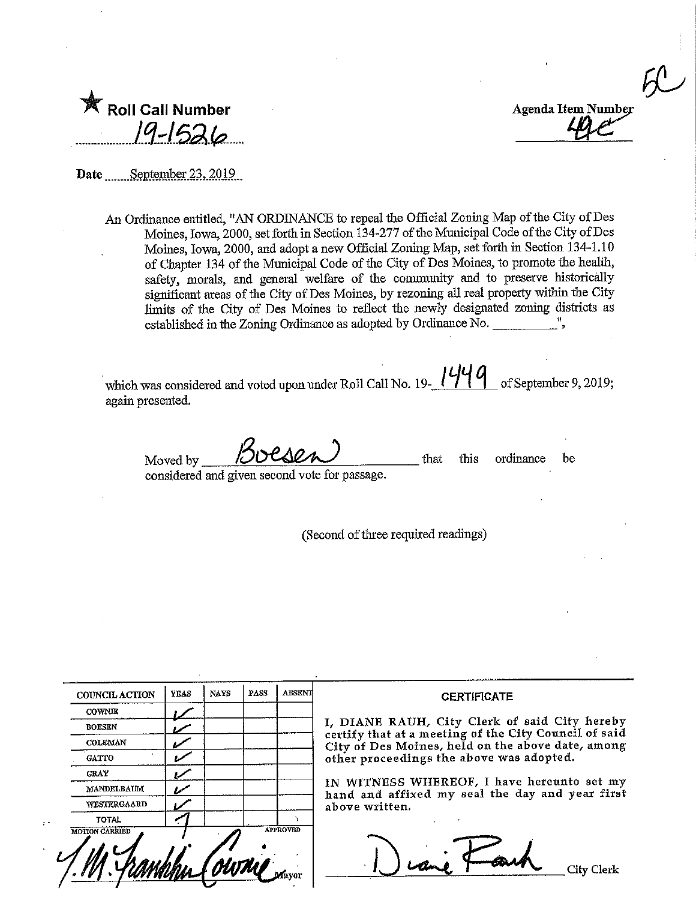$\infty$ 

| <b>Roll Call Number</b> |
|-------------------------|
| $19 - 1526$             |

Date September 23, 2019

An Ordinance entitled, "AN ORDINANCE to repeal the Official Zoning Map of the City of Des Moines, Iowa, 2000, set forth in Section 134-277 of the Municipal Code of the City of Des Moines, Iowa, 2000, and adopt a new Official Zoning Map, set forth in Section 134-1.10 of Chapter 134 of the Municipal Code of the City of Des Moines, to promote the health, safety, morals, and general welfare of the community and to preserve historically significant areas of the City of Des Moines, by rezoning all real property within the City limits of the City of Des Moines to reflect the newly designated zoning districts as established in the Zoning Ordinance as adopted by Ordinance No.

which was considered and voted upon under Roll Call No. 19- $\frac{1449}{}$  of September 9, 2019; again presented.

 $Moved by$  Buesen

that this ordinance be

considered and given second vote for passage,

(Second of three required readings)

| <b>COUNCIL ACTION</b> | <b>YEAS</b> | <b>NAYS</b> | <b>PASS</b> | <b>ABSENT</b>   | <b>CERTIFICATE</b>                                                                                     |
|-----------------------|-------------|-------------|-------------|-----------------|--------------------------------------------------------------------------------------------------------|
| <b>COWNIE</b>         |             |             |             |                 |                                                                                                        |
| <b>BOESEN</b>         |             |             |             |                 | I, DIANE RAUH, City Clerk of said City hereby<br>certify that at a meeting of the City Council of said |
| <b>COLEMAN</b>        |             |             |             |                 | City of Des Moines, held on the above date, among<br>other proceedings the above was adopted.          |
| <b>GATTO</b>          |             |             |             |                 |                                                                                                        |
| <b>GRAY</b>           |             |             |             |                 |                                                                                                        |
| <b>MANDELBAUM</b>     |             |             |             |                 | IN WITNESS WHEREOF, I have hereunto set my<br>hand and affixed my seal the day and year first          |
| WESTERGAARD           |             |             |             |                 | above written.                                                                                         |
| <b>TOTAL</b>          |             |             |             |                 |                                                                                                        |
| <b>MOTION CARRIED</b> |             |             |             | <b>APPROVED</b> | City Clerk                                                                                             |